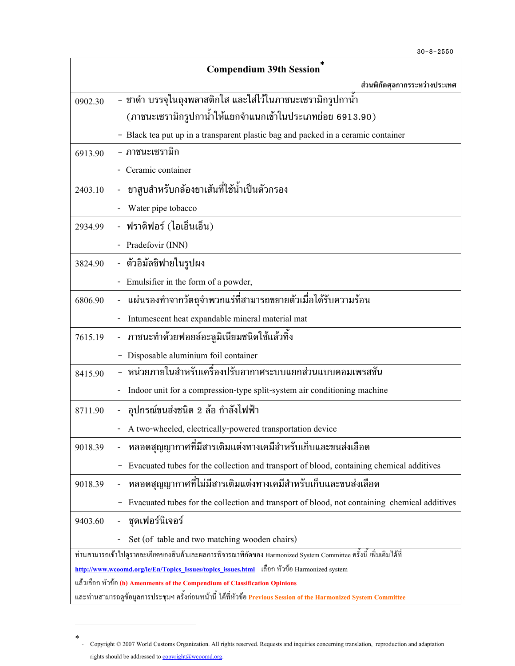| <b>Compendium 39th Session</b>                                                                                       |                                                                                              |
|----------------------------------------------------------------------------------------------------------------------|----------------------------------------------------------------------------------------------|
|                                                                                                                      | ส่วนพิกัดศุลกากรระหว่างประเทศ                                                                |
| 0902.30                                                                                                              | - ชาดำ บรรจุในถุงพลาสติกใส และใส่ไว้ในภาชนะเซรามิกรูปกาน้ำ                                   |
|                                                                                                                      | (ภาชนะเซรามิกรูปกาน้ำให้แยกจำแนกเข้าในประเภทย่อย 6913.90)                                    |
|                                                                                                                      | - Black tea put up in a transparent plastic bag and packed in a ceramic container            |
| 6913.90                                                                                                              | - ภาชนะเซรามิก                                                                               |
|                                                                                                                      | Ceramic container                                                                            |
| 2403.10                                                                                                              | ยาสูบสำหรับกล <sup>้</sup> องยาเส้นที่ใช้น้ำเป็นตัวกรอง                                      |
|                                                                                                                      | Water pipe tobacco                                                                           |
| 2934.99                                                                                                              | - ฟราดิฟอร์ (ไอเอ็นเอ็น)                                                                     |
|                                                                                                                      | Pradefovir (INN)                                                                             |
| 3824.90                                                                                                              | - ตัวอิมัลซิฟายในรูปผง                                                                       |
|                                                                                                                      | Emulsifier in the form of a powder,<br>$\overline{\phantom{0}}$                              |
| 6806.90                                                                                                              | ้ แผ่นรองทำจากวัตถุจำพวกแร่ที่สามารถขยายตัวเมื่อได้รับความร้อน                               |
|                                                                                                                      | Intumescent heat expandable mineral material mat                                             |
| 7615.19                                                                                                              | ์ ภาชนะทำด้วยฟอยล์อะลูมิเนียมชนิดใช้แล้วทิ้ง                                                 |
|                                                                                                                      | Disposable aluminium foil container                                                          |
| 8415.90                                                                                                              | - หน่วยภายในสำหรับเครื่องปรับอากาศระบบแยกส่วนแบบคอมเพรสชัน                                   |
|                                                                                                                      | Indoor unit for a compression-type split-system air conditioning machine                     |
| 8711.90                                                                                                              | - อุปกรณ์ขนส่งชนิด 2 ล้อ กำลังไฟฟ้า                                                          |
|                                                                                                                      | A two-wheeled, electrically-powered transportation device                                    |
| 9018.39                                                                                                              | หลอดสุญญากาศที่มีสารเติมแต่งทางเคมีสำหรับเก็บและขนส่งเลือด                                   |
|                                                                                                                      | Evacuated tubes for the collection and transport of blood, containing chemical additives     |
| 9018.39                                                                                                              | หลอดสุญญากาศที่ไม่มีสารเติมแต่งทางเคมีสำหรับเก็บและขนส่งเลือด<br>$\overline{\phantom{a}}$    |
|                                                                                                                      | Evacuated tubes for the collection and transport of blood, not containing chemical additives |
| 9403.60                                                                                                              | ชุดเฟอร์นิเจอร์                                                                              |
|                                                                                                                      | Set (of table and two matching wooden chairs)                                                |
| ี่ ท่านสามารถเข้าไปดูรายละเอียดของสินค้าและผลการพิจารณาพิกัดของ Harmonized System Committee ครั้งนี้ เพิ่มเติมได้ที่ |                                                                                              |
| http://www.wcoomd.org/ie/En/Topics_Issues/topics_issues.html เลือกหัวข้อ Harmonized system                           |                                                                                              |
| แล้วเลือก หัวข้อ (b) Amenments of the Compendium of Classification Opinions                                          |                                                                                              |
| และท่านสามารถดูข้อมูลการประชุมฯ ครั้งก่อนหน้านี้ ได้ที่หัวข้อ Previous Session of the Harmonized System Committee    |                                                                                              |

<sup>∗</sup> - Copyright © 2007 World Customs Organization. All rights reserved. Requests and inquiries concerning translation, reproduction and adaptation rights should be addressed to copyright@wcoomd.org.